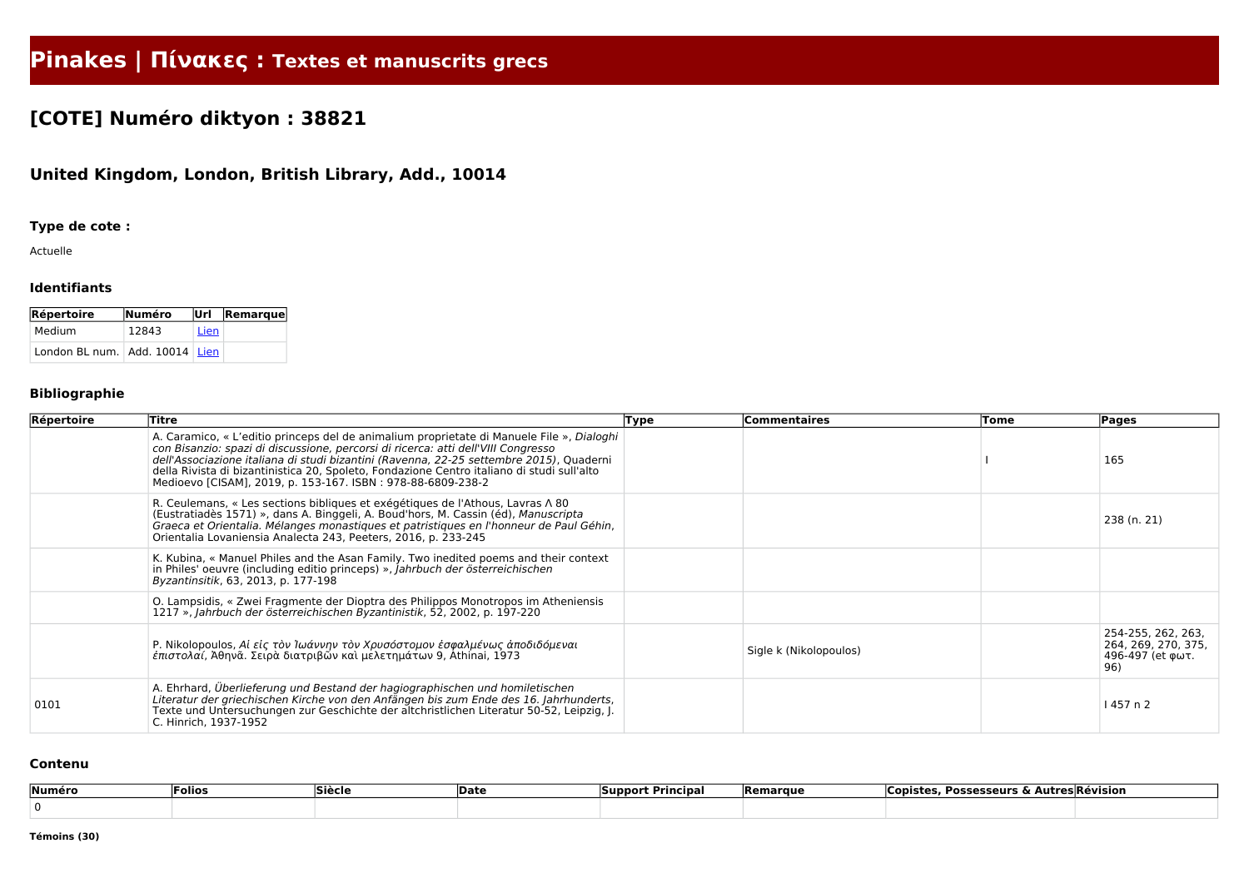# **Pinakes | Πίνακες : Textes et manuscrits grecs**

## **[COTE] Numéro diktyon : 38821**

### **United Kingdom, London, British Library, Add., 10014**

#### **Type de cote :**

Actuelle

#### **Identifiants**

| <b>Répertoire</b>                  | Numéro |      | Url Remarque |
|------------------------------------|--------|------|--------------|
| Medium                             | 12843  | Lien |              |
| London BL num.   Add. 10014   Lien |        |      |              |

#### **Bibliographie**

| Répertoire | Titre                                                                                                                                                                                                                                                                                                                                                                                                                                  | Type | Commentaires           | Tome | Pages                                                                |
|------------|----------------------------------------------------------------------------------------------------------------------------------------------------------------------------------------------------------------------------------------------------------------------------------------------------------------------------------------------------------------------------------------------------------------------------------------|------|------------------------|------|----------------------------------------------------------------------|
|            | A. Caramico, « L'editio princeps del de animalium proprietate di Manuele File », Dialoghi<br>con Bisanzio: spazi di discussione, percorsi di ricerca: atti dell'VIII Congresso<br>dell'Associazione italiana di studi bizantini (Ravenna, 22-25 settembre 2015), Quaderni<br>della Rivista di bizantinistica 20, Spoleto, Fondazione Centro italiano di studi sull'alto<br>Medioevo [CISAM], 2019, p. 153-167. ISBN: 978-88-6809-238-2 |      |                        |      | 165                                                                  |
|            | R. Ceulemans, « Les sections bibliques et exégétiques de l'Athous, Lavras $\wedge$ 80<br>(Eustratiadès 1571) », dans A. Binggeli, A. Boud'hors, M. Cassin (éd), Manuscripta<br>Graeca et Orientalia. Mélanges monastiques et patristiques en l'honneur de Paul Géhin,<br>Orientalia Lovaniensia Analecta 243, Peeters, 2016, p. 233-245                                                                                                |      |                        |      | 238 (n. 21)                                                          |
|            | K. Kubina, « Manuel Philes and the Asan Family. Two inedited poems and their context<br>in Philes' oeuvre (including editio princeps) », Jahrbuch der österreichischen<br>Byzantinsitik, 63, 2013, p. 177-198                                                                                                                                                                                                                          |      |                        |      |                                                                      |
|            | O. Lampsidis, « Zwei Fragmente der Dioptra des Philippos Monotropos im Atheniensis<br>1217 », Jahrbuch der österreichischen Byzantinistik, 52, 2002, p. 197-220                                                                                                                                                                                                                                                                        |      |                        |      |                                                                      |
|            | P. Nikolopoulos, Αί είς τὸν Ἰωάννην τὸν Χρυσόστομον ἐσφαλμένως ἀποδιδόμεναι<br><i>έπιστολαί, Ά</i> θηνᾶ. Σειρὰ διατριβῶν καὶ μελετημάτων 9, Athinai, 1973                                                                                                                                                                                                                                                                              |      | Sigle k (Nikolopoulos) |      | 254-255, 262, 263,<br>264, 269, 270, 375,<br>496-497 (et φωτ.<br>96) |
| 0101       | A. Ehrhard, Überlieferung und Bestand der hagiographischen und homiletischen<br>Literatur der griechischen Kirche von den Anfängen bis zum Ende des 16. Jahrhunderts,<br>Texte und Untersuchungen zur Geschichte der altchristlichen Literatur 50-52, Leipzig, J.<br>C. Hinrich, 1937-1952                                                                                                                                             |      |                        |      | 1457 n 2                                                             |

#### **Contenu**

| Numéro | Folios | <b>Siècl</b> | Date | <b>Principa</b><br><b>Support</b> | <b>Remarque</b> | <b>Possesseurs</b><br>copiste<br>--<br>. | <b>Autres Révision</b> |
|--------|--------|--------------|------|-----------------------------------|-----------------|------------------------------------------|------------------------|
|        |        |              |      |                                   |                 |                                          |                        |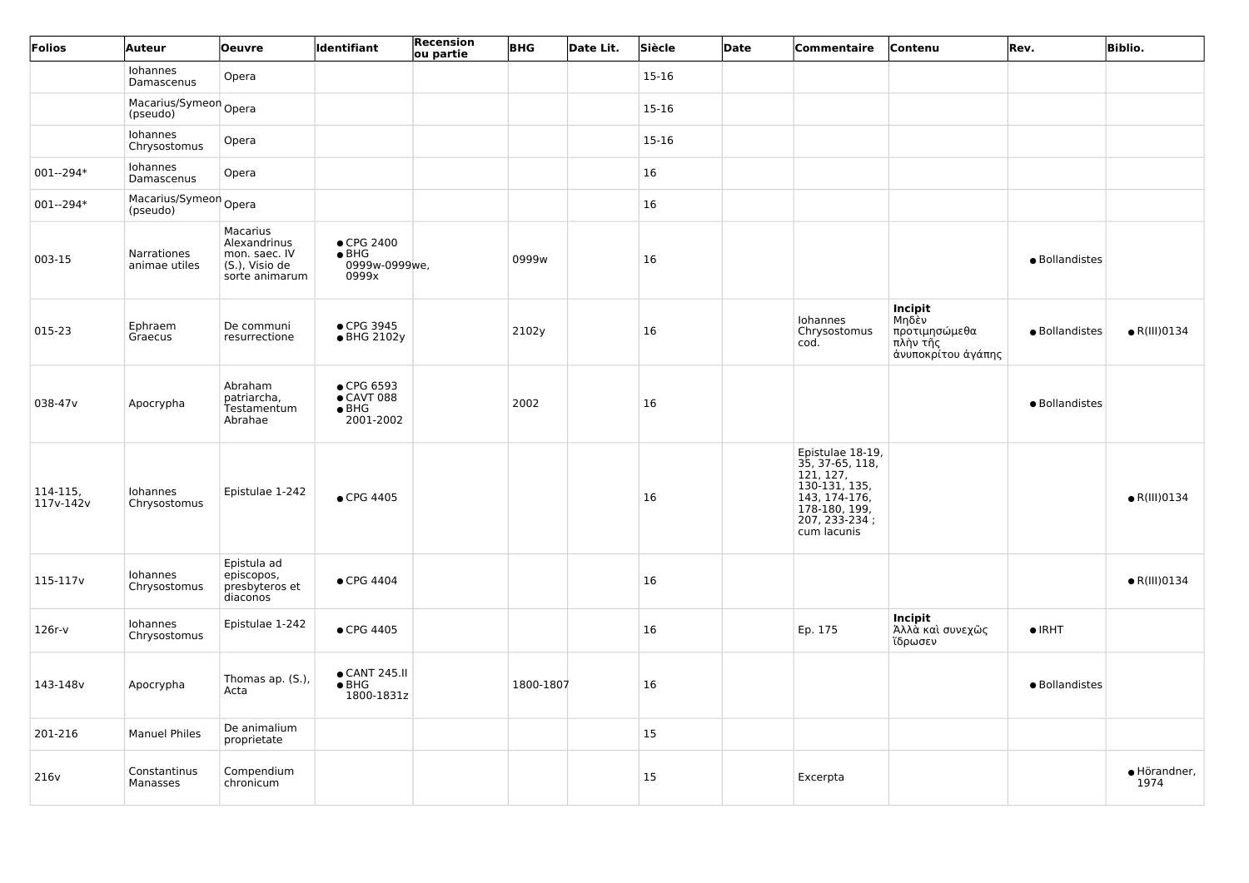| Folios                     | Auteur                            | <b>Oeuvre</b>                                                                 | Identifiant                                                    | Recension<br>ou partie | <b>BHG</b> | Date Lit. | Siècle  | Date | Commentaire                                                                                                                         | Contenu                                                             | Rev.           | <b>Biblio.</b>       |
|----------------------------|-----------------------------------|-------------------------------------------------------------------------------|----------------------------------------------------------------|------------------------|------------|-----------|---------|------|-------------------------------------------------------------------------------------------------------------------------------------|---------------------------------------------------------------------|----------------|----------------------|
|                            | Iohannes<br>Damascenus            | Opera                                                                         |                                                                |                        |            |           | $15-16$ |      |                                                                                                                                     |                                                                     |                |                      |
|                            | Macarius/Symeon Opera<br>(pseudo) |                                                                               |                                                                |                        |            |           | 15-16   |      |                                                                                                                                     |                                                                     |                |                      |
|                            | Iohannes<br>Chrysostomus          | Opera                                                                         |                                                                |                        |            |           | 15-16   |      |                                                                                                                                     |                                                                     |                |                      |
| $001 - 294*$               | Iohannes<br>Damascenus            | Opera                                                                         |                                                                |                        |            |           | 16      |      |                                                                                                                                     |                                                                     |                |                      |
| $001 - 294*$               | Macarius/Symeon Opera<br>(pseudo) |                                                                               |                                                                |                        |            |           | 16      |      |                                                                                                                                     |                                                                     |                |                      |
| 003-15                     | Narrationes<br>animae utiles      | Macarius<br>Alexandrinus<br>mon. saec. IV<br>(S.), Visio de<br>sorte animarum | $\bullet$ CPG 2400<br>$\bullet$ BHG<br>0999w-0999we,<br>0999x  |                        | 0999w      |           | 16      |      |                                                                                                                                     |                                                                     | · Bollandistes |                      |
| 015-23                     | Ephraem<br>Graecus                | De communi<br>resurrectione                                                   | • CPG 3945<br>• BHG 2102y                                      |                        | 2102y      |           | 16      |      | Iohannes<br>Chrysostomus<br>cod.                                                                                                    | Incipit<br>Μηδὲν<br>προτιμησώμεθα<br>πλὴν τῆς<br>άνυποκρίτου άγάπης | · Bollandistes | $\bullet$ R(III)0134 |
| 038-47v                    | Apocrypha                         | Abraham<br>patriarcha,<br>Testamentum<br>Abrahae                              | • CPG 6593<br>$\bullet$ CAVT 088<br>$\bullet$ BHG<br>2001-2002 |                        | 2002       |           | 16      |      |                                                                                                                                     |                                                                     | · Bollandistes |                      |
| $ 114-115 $<br>$117v-142v$ | Iohannes<br>Chrysostomus          | Epistulae 1-242                                                               | • CPG 4405                                                     |                        |            |           | 16      |      | Epistulae 18-19,<br>35, 37-65, 118,<br>121, 127,<br>130-131, 135,<br>143, 174-176,<br>178-180, 199,<br>207, 233-234;<br>cum lacunis |                                                                     |                | $\bullet$ R(III)0134 |
| 115-117 <sub>v</sub>       | Iohannes<br>Chrysostomus          | Epistula ad<br>episcopos,<br>presbyteros et<br>diaconos                       | $\bullet$ CPG 4404                                             |                        |            |           | 16      |      |                                                                                                                                     |                                                                     |                | $\bullet$ R(III)0134 |
| $126r-v$                   | Iohannes<br>Chrysostomus          | Epistulae 1-242                                                               | • CPG 4405                                                     |                        |            |           | 16      |      | Ep. 175                                                                                                                             | Incipit<br>Άλλὰ καὶ συνεχῶς<br>ἵδρωσεν                              | $\bullet$ IRHT |                      |
| 143-148v                   | Apocrypha                         | Thomas ap. (S.),<br>Acta                                                      | ● CANT 245.II<br>$\bullet$ BHG<br>1800-1831z                   |                        | 1800-1807  |           | 16      |      |                                                                                                                                     |                                                                     | · Bollandistes |                      |
| 201-216                    | <b>Manuel Philes</b>              | De animalium<br>proprietate                                                   |                                                                |                        |            |           | 15      |      |                                                                                                                                     |                                                                     |                |                      |
| 216v                       | Constantinus<br>Manasses          | Compendium<br>chronicum                                                       |                                                                |                        |            |           | 15      |      | Excerpta                                                                                                                            |                                                                     |                | · Hörandner,<br>1974 |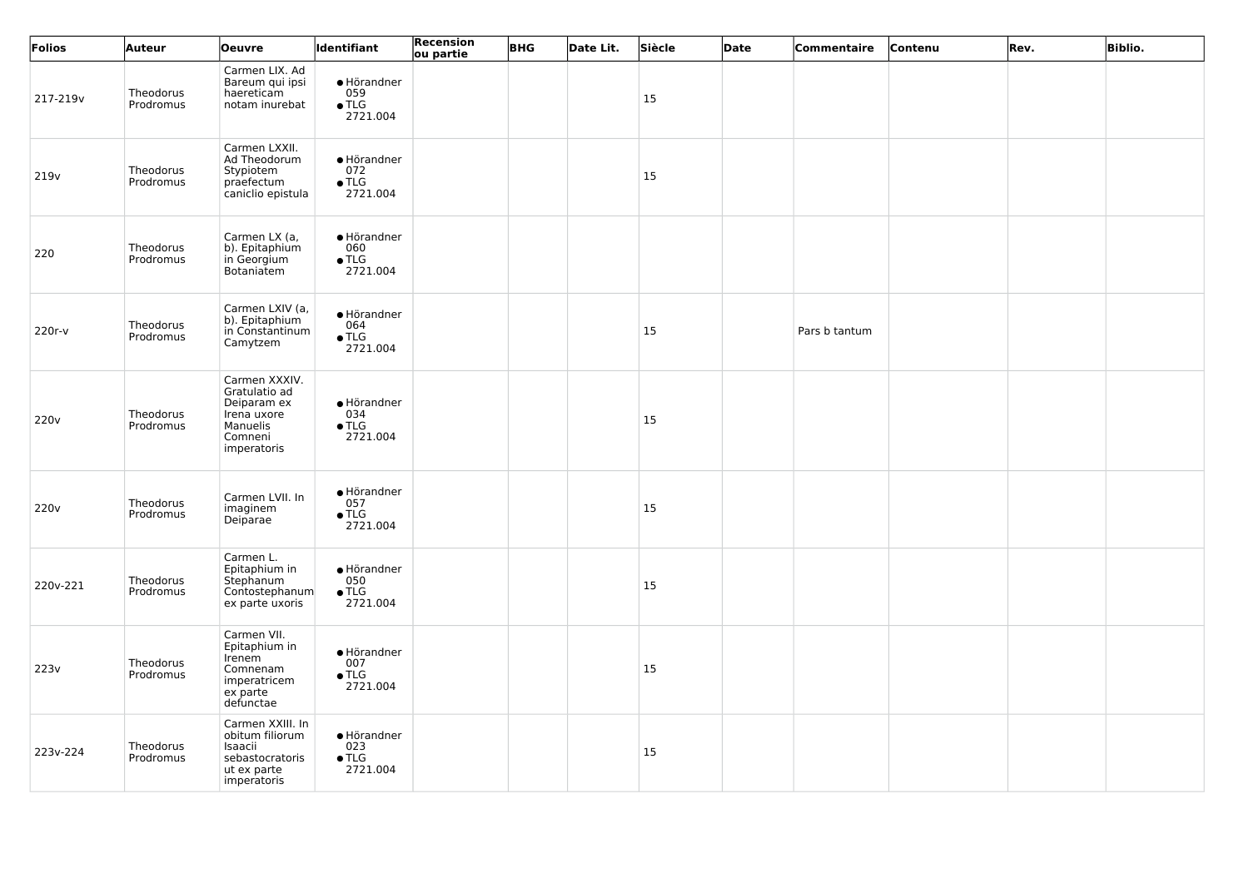| Folios           | Auteur                 | <b>Oeuvre</b>                                                                                      | <b>Identifiant</b>                                      | Recension<br>ou partie | <b>BHG</b> | Date Lit. | Siècle        | Date | Commentaire   | Contenu | Rev. | <b>Biblio.</b> |
|------------------|------------------------|----------------------------------------------------------------------------------------------------|---------------------------------------------------------|------------------------|------------|-----------|---------------|------|---------------|---------|------|----------------|
| 217-219v         | Theodorus<br>Prodromus | Carmen LIX. Ad<br>Bareum qui ipsi<br>haereticam<br>notam inurebat                                  | · Hörandner<br>$059$<br>• TLG<br>2721.004               |                        |            |           | <sup>15</sup> |      |               |         |      |                |
| 219 <sub>v</sub> | Theodorus<br>Prodromus | Carmen LXXII.<br>Ad Theodorum<br>Stypiotem<br>praefectum<br>caniclio epistula                      | $\bullet$ Hörandner<br>072<br>$\bullet$ TLG<br>2721.004 |                        |            |           | 15            |      |               |         |      |                |
| 220              | Theodorus<br>Prodromus | Carmen LX (a,<br>b). Epitaphium<br>in Georgium<br>Botaniatem                                       | · Hörandner<br>060<br>$\bullet$ TLG<br>2721.004         |                        |            |           |               |      |               |         |      |                |
| $220r-v$         | Theodorus<br>Prodromus | Carmen LXIV (a,<br>b). Epitaphium<br>in Constantinum<br>Camytzem                                   | • Hörandner<br>064<br>$\bullet$ TLG<br>2721.004         |                        |            |           | <b>15</b>     |      | Pars b tantum |         |      |                |
| 220v             | Theodorus<br>Prodromus | Carmen XXXIV.<br>Gratulatio ad<br>Deiparam ex<br>Irena uxore<br>Manuelis<br>Comneni<br>imperatoris | • Hörandner<br>034<br>$\bullet$ TLG<br>2721.004         |                        |            |           | <sup>15</sup> |      |               |         |      |                |
| 220 <sub>v</sub> | Theodorus<br>Prodromus | Carmen LVII. In<br>imaginem<br>Deiparae                                                            | • Hörandner<br>057<br>$\bullet$ TLG<br>2721.004         |                        |            |           | 15            |      |               |         |      |                |
| 220v-221         | Theodorus<br>Prodromus | Carmen L.<br>Epitaphium in<br>Stephanum<br>Contostephanum<br>ex parte uxoris                       | · Hörandner<br>050<br>$\bullet$ TLG<br>2721.004         |                        |            |           | <b>15</b>     |      |               |         |      |                |
| 223v             | Theodorus<br>Prodromus | Carmen VII.<br>Epitaphium in<br>Irenem<br>Comnenam<br>imperatricem<br>ex parte<br>defunctae        | • Hörandner<br>007<br>$\bullet$ TLG<br>2721.004         |                        |            |           | <b>15</b>     |      |               |         |      |                |
| 223v-224         | Theodorus<br>Prodromus | Carmen XXIII. In<br>obitum filiorum<br>Isaacii<br>sebastocratoris<br>ut ex parte<br>imperatoris    | • Hörandner<br>023<br>$\bullet$ TLG<br>2721.004         |                        |            |           | <b>15</b>     |      |               |         |      |                |